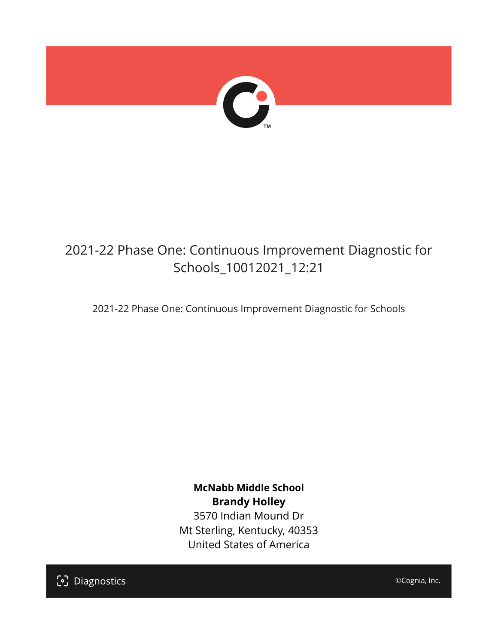

# 2021-22 Phase One: Continuous Improvement Diagnostic for Schools\_10012021\_12:21

2021-22 Phase One: Continuous Improvement Diagnostic for Schools

**McNabb Middle School Brandy Holley** 3570 Indian Mound Dr Mt Sterling, Kentucky, 40353 United States of America

[၁] Diagnostics

©Cognia, Inc.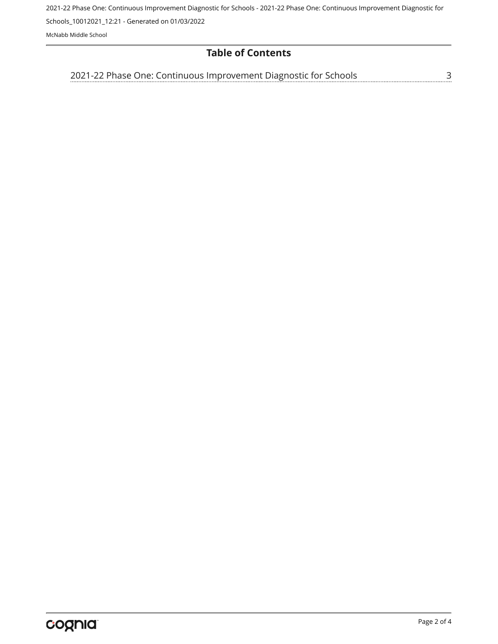2021-22 Phase One: Continuous Improvement Diagnostic for Schools - 2021-22 Phase One: Continuous Improvement Diagnostic for Schools\_10012021\_12:21 - Generated on 01/03/2022

McNabb Middle School

### **Table of Contents**

<u>[3](#page-2-0)</u> [2021-22 Phase One: Continuous Improvement Diagnostic for Schools](#page-2-0)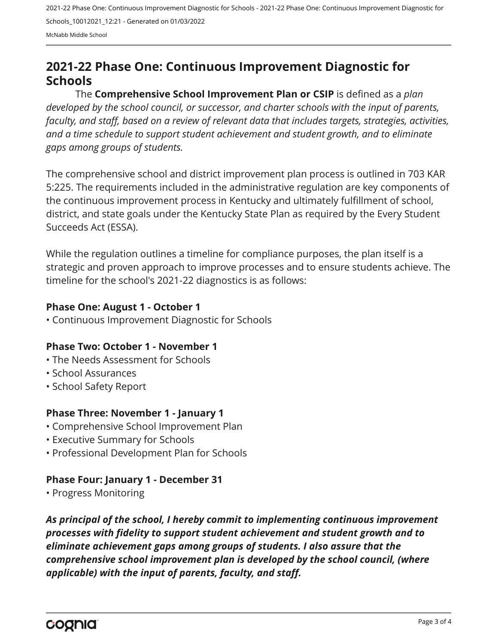2021-22 Phase One: Continuous Improvement Diagnostic for Schools - 2021-22 Phase One: Continuous Improvement Diagnostic for Schools\_10012021\_12:21 - Generated on 01/03/2022 McNabb Middle School

## <span id="page-2-0"></span>**2021-22 Phase One: Continuous Improvement Diagnostic for Schools**

The **Comprehensive School Improvement Plan or CSIP** is defined as a *plan developed by the school council, or successor, and charter schools with the input of parents, faculty, and staff, based on a review of relevant data that includes targets, strategies, activities, and a time schedule to support student achievement and student growth, and to eliminate gaps among groups of students.*

The comprehensive school and district improvement plan process is outlined in 703 KAR 5:225. The requirements included in the administrative regulation are key components of the continuous improvement process in Kentucky and ultimately fulfillment of school, district, and state goals under the Kentucky State Plan as required by the Every Student Succeeds Act (ESSA).

While the regulation outlines a timeline for compliance purposes, the plan itself is a strategic and proven approach to improve processes and to ensure students achieve. The timeline for the school's 2021-22 diagnostics is as follows:

#### **Phase One: August 1 - October 1**

• Continuous Improvement Diagnostic for Schools

#### **Phase Two: October 1 - November 1**

- The Needs Assessment for Schools
- School Assurances
- School Safety Report

#### **Phase Three: November 1 - January 1**

- Comprehensive School Improvement Plan
- Executive Summary for Schools
- Professional Development Plan for Schools

#### **Phase Four: January 1 - December 31**

• Progress Monitoring

*As principal of the school, I hereby commit to implementing continuous improvement processes with fidelity to support student achievement and student growth and to eliminate achievement gaps among groups of students. I also assure that the comprehensive school improvement plan is developed by the school council, (where applicable) with the input of parents, faculty, and staff.*